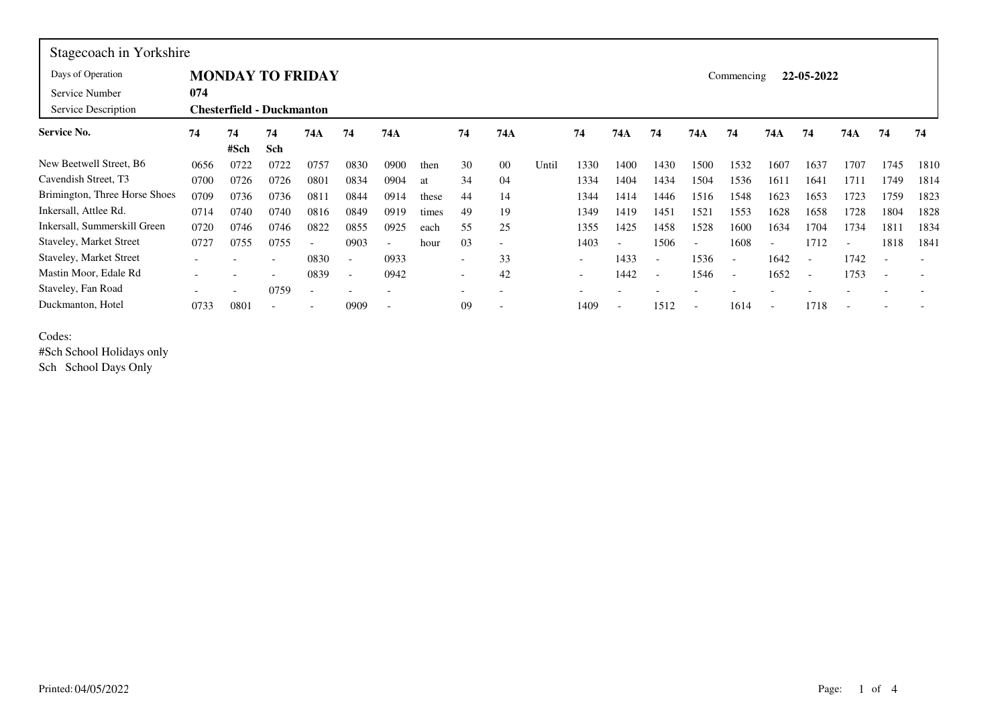| Stagecoach in Yorkshire       |                         |                           |                          |      |                          |                          |       |                          |                          |       |                          |                          |                          |      |                          |                          |                          |                          |                          |      |  |  |  |  |  |
|-------------------------------|-------------------------|---------------------------|--------------------------|------|--------------------------|--------------------------|-------|--------------------------|--------------------------|-------|--------------------------|--------------------------|--------------------------|------|--------------------------|--------------------------|--------------------------|--------------------------|--------------------------|------|--|--|--|--|--|
| Days of Operation             | <b>MONDAY TO FRIDAY</b> |                           |                          |      |                          |                          |       |                          |                          |       |                          |                          |                          |      |                          | 22-05-2022<br>Commencing |                          |                          |                          |      |  |  |  |  |  |
| Service Number                | 074                     |                           |                          |      |                          |                          |       |                          |                          |       |                          |                          |                          |      |                          |                          |                          |                          |                          |      |  |  |  |  |  |
| Service Description           |                         | Chesterfield - Duckmanton |                          |      |                          |                          |       |                          |                          |       |                          |                          |                          |      |                          |                          |                          |                          |                          |      |  |  |  |  |  |
| Service No.                   | 74                      | 74                        | 74                       | 74A  | 74                       | 74A                      |       | 74                       | 74A                      |       | 74                       | 74A                      | 74                       | 74A  | 74                       | 74A                      | 74                       | 74A                      | 74                       | 74   |  |  |  |  |  |
|                               |                         | #Sch                      | Sch                      |      |                          |                          |       |                          |                          |       |                          |                          |                          |      |                          |                          |                          |                          |                          |      |  |  |  |  |  |
| New Beetwell Street, B6       | 0656                    | 0722                      | 0722                     | 0757 | 0830                     | 0900                     | then  | 30                       | 00                       | Until | 1330                     | 1400                     | 1430                     | 1500 | 1532                     | 1607                     | 1637                     | 1707                     | 1745                     | 1810 |  |  |  |  |  |
| Cavendish Street, T3          | 0700                    | 0726                      | 0726                     | 0801 | 0834                     | 0904                     | at    | 34                       | 04                       |       | 1334                     | 1404                     | 1434                     | 1504 | 1536                     | 1611                     | 1641                     | 1711                     | 1749                     | 1814 |  |  |  |  |  |
| Brimington, Three Horse Shoes | 0709                    | 0736                      | 0736                     | 0811 | 0844                     | 0914                     | these | 44                       | 14                       |       | 1344                     | 1414                     | 1446                     | 1516 | 1548                     | 1623                     | 1653                     | 1723                     | 1759                     | 1823 |  |  |  |  |  |
| Inkersall, Attlee Rd.         | 0714                    | 0740                      | 0740                     | 0816 | 0849                     | 0919                     | times | 49                       | 19                       |       | 1349                     | 1419                     | 1451                     | 1521 | 1553                     | 1628                     | 1658                     | 1728                     | 1804                     | 1828 |  |  |  |  |  |
| Inkersall, Summerskill Green  | 0720                    | 0746                      | 0746                     | 0822 | 0855                     | 0925                     | each  | 55                       | 25                       |       | 1355                     | 1425                     | 1458                     | 1528 | 1600                     | 1634                     | 1704                     | 1734                     | 181                      | 1834 |  |  |  |  |  |
| Staveley, Market Street       | 0727                    | 0755                      | 0755                     |      | 0903                     | $\overline{\phantom{a}}$ | hour  | 03                       | $\overline{\phantom{0}}$ |       | 1403                     | $\overline{\phantom{0}}$ | 1506                     |      | 1608                     | $\overline{\phantom{a}}$ | 1712                     | $\overline{\phantom{a}}$ | 1818                     | 1841 |  |  |  |  |  |
| Staveley, Market Street       |                         |                           | $\overline{\phantom{0}}$ | 0830 | $\overline{\phantom{0}}$ | 0933                     |       | $\overline{\phantom{a}}$ | 33                       |       | $\overline{\phantom{a}}$ | 1433                     | $\overline{\phantom{a}}$ | 1536 | $\overline{\phantom{0}}$ | 1642                     | $\overline{\phantom{0}}$ | 1742                     |                          |      |  |  |  |  |  |
| Mastin Moor, Edale Rd         |                         |                           | $\overline{\phantom{0}}$ | 0839 | $\overline{\phantom{a}}$ | 0942                     |       | $\overline{\phantom{a}}$ | 42                       |       | $\overline{\phantom{a}}$ | 1442                     | $\overline{\phantom{a}}$ | 1546 | $\overline{\phantom{a}}$ | 1652                     | $\overline{\phantom{a}}$ | 1753                     | $\overline{\phantom{0}}$ |      |  |  |  |  |  |
| Staveley, Fan Road            |                         |                           | 0759                     |      |                          |                          |       |                          |                          |       |                          |                          |                          |      |                          |                          |                          |                          |                          |      |  |  |  |  |  |
| Duckmanton, Hotel             | 0733                    | 0801                      | $\overline{\phantom{a}}$ |      | 0909                     |                          |       | 09                       | $\overline{\phantom{a}}$ |       | 1409                     | $\overline{\phantom{0}}$ | 1512                     |      | 1614                     | $\overline{\phantom{a}}$ | 1718                     |                          |                          |      |  |  |  |  |  |

Codes:

#Sch School Holidays only

Sch School Days Only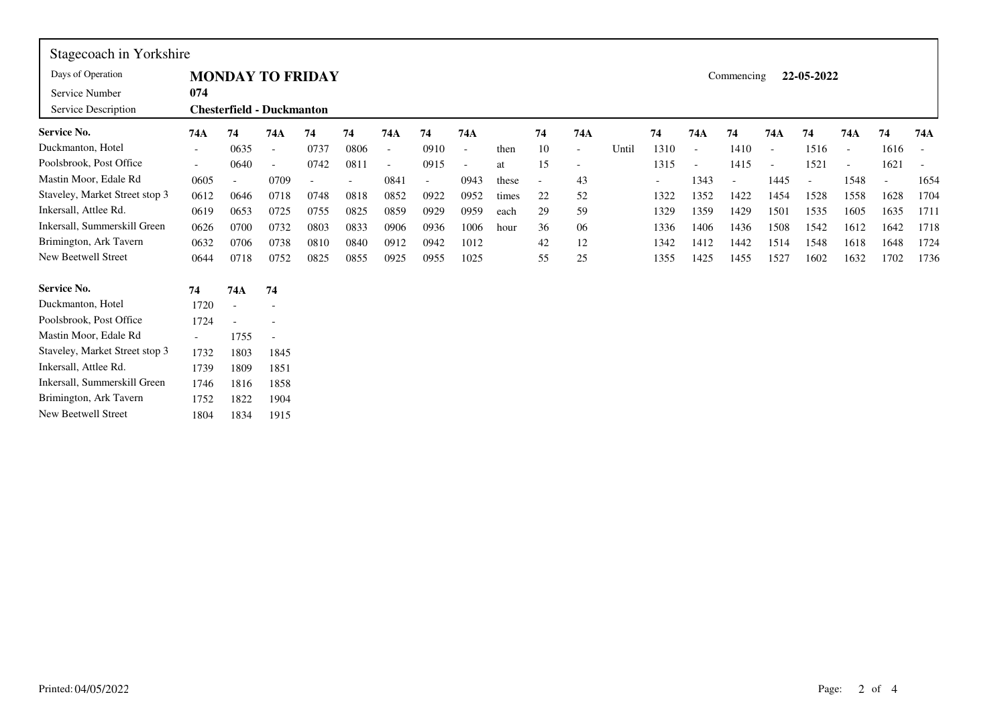| Stagecoach in Yorkshire        |                          |                                                     |                          |      |      |                |                          |                          |       |    |                          |       |                          |        |      |        |      |                          |           |      |
|--------------------------------|--------------------------|-----------------------------------------------------|--------------------------|------|------|----------------|--------------------------|--------------------------|-------|----|--------------------------|-------|--------------------------|--------|------|--------|------|--------------------------|-----------|------|
| Days of Operation              |                          | <b>MONDAY TO FRIDAY</b><br>22-05-2022<br>Commencing |                          |      |      |                |                          |                          |       |    |                          |       |                          |        |      |        |      |                          |           |      |
| Service Number                 | 074                      |                                                     |                          |      |      |                |                          |                          |       |    |                          |       |                          |        |      |        |      |                          |           |      |
| Service Description            |                          | <b>Chesterfield - Duckmanton</b>                    |                          |      |      |                |                          |                          |       |    |                          |       |                          |        |      |        |      |                          |           |      |
| <b>Service No.</b>             | 74A                      | 74                                                  | 74A                      | 74   | 74   | 74A            | 74                       | 74A                      |       | 74 | 74A                      |       | 74                       | 74A    | 74   | 74A    | 74   | 74A                      | 74        | 74A  |
| Duckmanton, Hotel              | $\overline{\phantom{a}}$ | 0635                                                | $\overline{\phantom{a}}$ | 0737 | 0806 | $\blacksquare$ | 0910                     | $\overline{\phantom{a}}$ | then  | 10 | $\overline{\phantom{a}}$ | Until | 1310                     | $\sim$ | 1410 | $\sim$ | 1516 | $\overline{\phantom{a}}$ | 1616      |      |
| Poolsbrook, Post Office        | $\overline{\phantom{a}}$ | 0640                                                | $\overline{\phantom{a}}$ | 0742 | 0811 | $\blacksquare$ | 0915                     | $\overline{\phantom{a}}$ | at    | 15 | $\overline{\phantom{a}}$ |       | 1315                     | $\sim$ | 1415 |        | 1521 |                          | 1621      |      |
| Mastin Moor, Edale Rd          | 0605                     |                                                     | 0709                     |      |      | 0841           | $\overline{\phantom{a}}$ | 0943                     | these | ÷, | 43                       |       | $\overline{\phantom{0}}$ | 1343   |      | 1445   |      | 1548                     | $\bar{a}$ | 1654 |
| Staveley, Market Street stop 3 | 0612                     | 0646                                                | 0718                     | 0748 | 0818 | 0852           | 0922                     | 0952                     | times | 22 | 52                       |       | 1322                     | 1352   | 1422 | 1454   | 1528 | 1558                     | 1628      | 1704 |
| Inkersall, Attlee Rd.          | 0619                     | 0653                                                | 0725                     | 0755 | 0825 | 0859           | 0929                     | 0959                     | each  | 29 | 59                       |       | 1329                     | 1359   | 1429 | 1501   | 1535 | 1605                     | 1635      | 1711 |
| Inkersall, Summerskill Green   | 0626                     | 0700                                                | 0732                     | 0803 | 0833 | 0906           | 0936                     | 1006                     | hour  | 36 | 06                       |       | 1336                     | 1406   | 1436 | 1508   | 1542 | 1612                     | 1642      | 1718 |
| Brimington, Ark Tavern         | 0632                     | 0706                                                | 0738                     | 0810 | 0840 | 0912           | 0942                     | 1012                     |       | 42 | 12                       |       | 1342                     | 1412   | 1442 | 1514   | 1548 | 1618                     | 1648      | 1724 |
| New Beetwell Street            | 0644                     | 0718                                                | 0752                     | 0825 | 0855 | 0925           | 0955                     | 1025                     |       | 55 | 25                       |       | 1355                     | 1425   | 1455 | 1527   | 1602 | 1632                     | 1702      | 1736 |
| <b>Service No.</b>             | 74                       | 74A                                                 | 74                       |      |      |                |                          |                          |       |    |                          |       |                          |        |      |        |      |                          |           |      |
| Duckmanton, Hotel              | 1720                     | $\blacksquare$                                      |                          |      |      |                |                          |                          |       |    |                          |       |                          |        |      |        |      |                          |           |      |
| Poolsbrook, Post Office        | 1724                     |                                                     |                          |      |      |                |                          |                          |       |    |                          |       |                          |        |      |        |      |                          |           |      |
| Mastin Moor, Edale Rd          | $\overline{\phantom{a}}$ | 1755                                                | $\overline{a}$           |      |      |                |                          |                          |       |    |                          |       |                          |        |      |        |      |                          |           |      |
| Staveley, Market Street stop 3 | 1732                     | 1803                                                | 1845                     |      |      |                |                          |                          |       |    |                          |       |                          |        |      |        |      |                          |           |      |
| Inkersall, Attlee Rd.          | 1739                     | 1809                                                | 1851                     |      |      |                |                          |                          |       |    |                          |       |                          |        |      |        |      |                          |           |      |
| Inkersall, Summerskill Green   | 1746                     | 1816                                                | 1858                     |      |      |                |                          |                          |       |    |                          |       |                          |        |      |        |      |                          |           |      |
| Brimington, Ark Tavern         | 1752                     | 1822                                                | 1904                     |      |      |                |                          |                          |       |    |                          |       |                          |        |      |        |      |                          |           |      |
| New Beetwell Street            | 1804                     | 1834                                                | 1915                     |      |      |                |                          |                          |       |    |                          |       |                          |        |      |        |      |                          |           |      |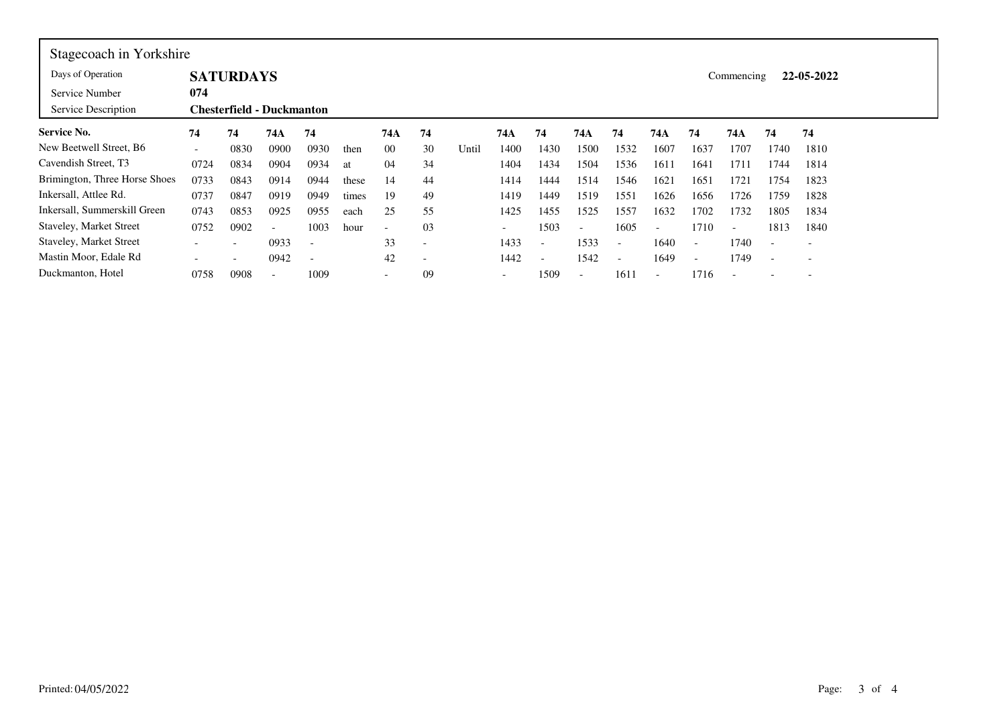| Stagecoach in Yorkshire        |                                  |      |                          |                          |       |                          |                          |       |                          |                          |                          |                          |                          |                          |                          |                          |                          |  |  |  |  |
|--------------------------------|----------------------------------|------|--------------------------|--------------------------|-------|--------------------------|--------------------------|-------|--------------------------|--------------------------|--------------------------|--------------------------|--------------------------|--------------------------|--------------------------|--------------------------|--------------------------|--|--|--|--|
| Days of Operation              | <b>SATURDAYS</b>                 |      |                          |                          |       |                          |                          |       |                          |                          |                          |                          |                          | 22-05-2022<br>Commencing |                          |                          |                          |  |  |  |  |
| Service Number                 | 074                              |      |                          |                          |       |                          |                          |       |                          |                          |                          |                          |                          |                          |                          |                          |                          |  |  |  |  |
| Service Description            | <b>Chesterfield - Duckmanton</b> |      |                          |                          |       |                          |                          |       |                          |                          |                          |                          |                          |                          |                          |                          |                          |  |  |  |  |
| <b>Service No.</b>             | 74                               | 74   | 74A                      | 74                       |       | 74A                      | 74                       |       | 74A                      | 74                       | 74A                      | 74                       | 74A                      | 74                       | 74A                      | 74                       | 74                       |  |  |  |  |
| New Beetwell Street, B6        | $\overline{\phantom{a}}$         | 0830 | 0900                     | 0930                     | then  | 00                       | 30                       | Until | 1400                     | 1430                     | 1500                     | 1532                     | 1607                     | 1637                     | 1707                     | 1740                     | 1810                     |  |  |  |  |
| Cavendish Street, T3           | 0724                             | 0834 | 0904                     | 0934                     | at    | 04                       | 34                       |       | 1404                     | 1434                     | 1504                     | 1536                     | 1611                     | 1641                     | 1711                     | 1744                     | 1814                     |  |  |  |  |
| Brimington, Three Horse Shoes  | 0733                             | 0843 | 0914                     | 0944                     | these | 14                       | 44                       |       | 1414                     | 1444                     | 1514                     | 1546                     | 1621                     | 1651                     | 1721                     | 1754                     | 1823                     |  |  |  |  |
| Inkersall, Attlee Rd.          | 0737                             | 0847 | 0919                     | 0949                     | times | 19                       | 49                       |       | 1419                     | 1449                     | 1519                     | 1551                     | 1626                     | 1656                     | 1726                     | 1759                     | 1828                     |  |  |  |  |
| Inkersall, Summerskill Green   | 0743                             | 0853 | 0925                     | 0955                     | each  | 25                       | 55                       |       | 1425                     | 1455                     | 1525                     | 1557                     | 1632                     | 1702                     | 1732                     | 1805                     | 1834                     |  |  |  |  |
| <b>Staveley, Market Street</b> | 0752                             | 0902 | $\overline{\phantom{0}}$ | 1003                     | hour  | $\overline{\phantom{a}}$ | 03                       |       | $\overline{\phantom{a}}$ | 1503                     | $\overline{\phantom{0}}$ | 1605                     | $\overline{\phantom{a}}$ | 1710                     | $\overline{\phantom{0}}$ | 1813                     | 1840                     |  |  |  |  |
| <b>Staveley, Market Street</b> | $\overline{\phantom{0}}$         |      | 0933                     | $\overline{\phantom{a}}$ |       | 33                       | $\overline{\phantom{0}}$ |       | 1433                     | $\overline{\phantom{a}}$ | 1533                     | $\overline{\phantom{0}}$ | 1640                     | $\overline{\phantom{0}}$ | 1740                     | $\overline{\phantom{0}}$ | $\overline{\phantom{0}}$ |  |  |  |  |
| Mastin Moor, Edale Rd          |                                  |      | 0942                     | $\overline{\phantom{a}}$ |       | 42                       | ٠                        |       | 1442                     | $\overline{\phantom{a}}$ | 1542                     | $\overline{\phantom{0}}$ | 1649                     | $\overline{\phantom{0}}$ | 1749                     | $\overline{\phantom{0}}$ | $\overline{\phantom{0}}$ |  |  |  |  |
| Duckmanton, Hotel              | 0758                             | 0908 | $\overline{\phantom{0}}$ | 1009                     |       | $\overline{\phantom{0}}$ | 09                       |       | $\overline{\phantom{0}}$ | 1509                     | $\overline{\phantom{a}}$ | 1611                     | $\overline{\phantom{0}}$ | 1716                     | $\overline{\phantom{0}}$ |                          | $\overline{\phantom{0}}$ |  |  |  |  |